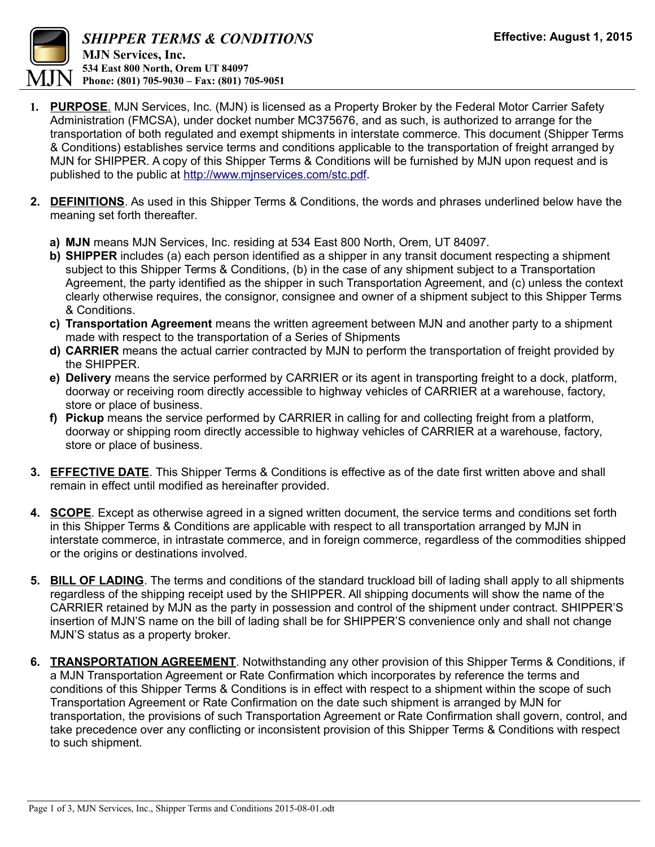

- **1. PURPOSE**. MJN Services, Inc. (MJN) is licensed as a Property Broker by the Federal Motor Carrier Safety Administration (FMCSA), under docket number MC375676, and as such, is authorized to arrange for the transportation of both regulated and exempt shipments in interstate commerce. This document (Shipper Terms & Conditions) establishes service terms and conditions applicable to the transportation of freight arranged by MJN for SHIPPER. A copy of this Shipper Terms & Conditions will be furnished by MJN upon request and is published to the public at [http://www.mjnservices.com/stc.pdf.](http://www.mjnservices.com/stc.pdf)
- **2. DEFINITIONS**. As used in this Shipper Terms & Conditions, the words and phrases underlined below have the meaning set forth thereafter.
	- **a) MJN** means MJN Services, Inc. residing at 534 East 800 North, Orem, UT 84097.
	- **b) SHIPPER** includes (a) each person identified as a shipper in any transit document respecting a shipment subject to this Shipper Terms & Conditions, (b) in the case of any shipment subject to a Transportation Agreement, the party identified as the shipper in such Transportation Agreement, and (c) unless the context clearly otherwise requires, the consignor, consignee and owner of a shipment subject to this Shipper Terms & Conditions.
	- **c) Transportation Agreement** means the written agreement between MJN and another party to a shipment made with respect to the transportation of a Series of Shipments
	- **d) CARRIER** means the actual carrier contracted by MJN to perform the transportation of freight provided by the SHIPPER.
	- **e) Delivery** means the service performed by CARRIER or its agent in transporting freight to a dock, platform, doorway or receiving room directly accessible to highway vehicles of CARRIER at a warehouse, factory, store or place of business.
	- **f) Pickup** means the service performed by CARRIER in calling for and collecting freight from a platform, doorway or shipping room directly accessible to highway vehicles of CARRIER at a warehouse, factory, store or place of business.
- **3. EFFECTIVE DATE**. This Shipper Terms & Conditions is effective as of the date first written above and shall remain in effect until modified as hereinafter provided.
- **4. SCOPE**. Except as otherwise agreed in a signed written document, the service terms and conditions set forth in this Shipper Terms & Conditions are applicable with respect to all transportation arranged by MJN in interstate commerce, in intrastate commerce, and in foreign commerce, regardless of the commodities shipped or the origins or destinations involved.
- **5. BILL OF LADING**. The terms and conditions of the standard truckload bill of lading shall apply to all shipments regardless of the shipping receipt used by the SHIPPER. All shipping documents will show the name of the CARRIER retained by MJN as the party in possession and control of the shipment under contract. SHIPPER'S insertion of MJN'S name on the bill of lading shall be for SHIPPER'S convenience only and shall not change MJN'S status as a property broker.
- **6. TRANSPORTATION AGREEMENT**. Notwithstanding any other provision of this Shipper Terms & Conditions, if a MJN Transportation Agreement or Rate Confirmation which incorporates by reference the terms and conditions of this Shipper Terms & Conditions is in effect with respect to a shipment within the scope of such Transportation Agreement or Rate Confirmation on the date such shipment is arranged by MJN for transportation, the provisions of such Transportation Agreement or Rate Confirmation shall govern, control, and take precedence over any conflicting or inconsistent provision of this Shipper Terms & Conditions with respect to such shipment.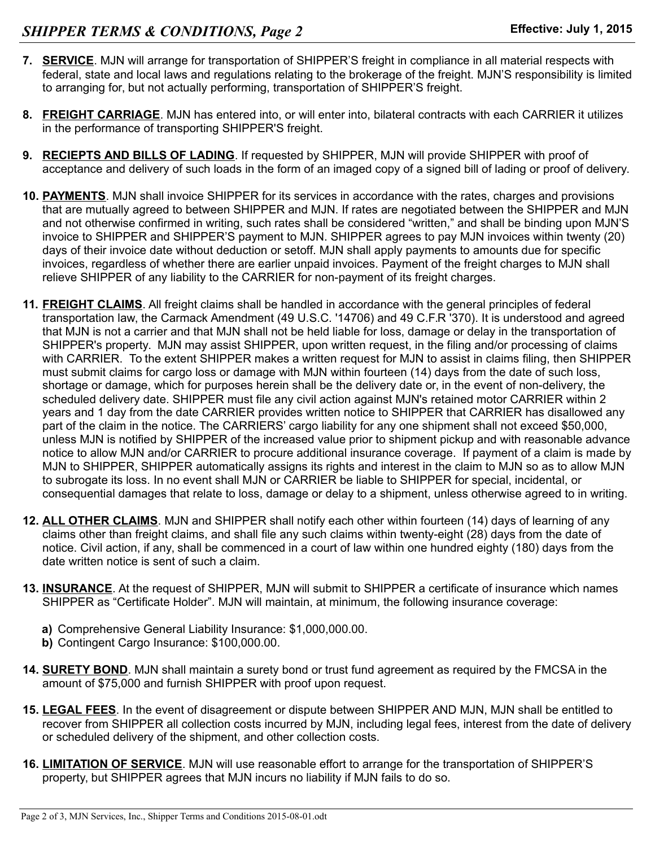- **7. SERVICE**. MJN will arrange for transportation of SHIPPER'S freight in compliance in all material respects with federal, state and local laws and regulations relating to the brokerage of the freight. MJN'S responsibility is limited to arranging for, but not actually performing, transportation of SHIPPER'S freight.
- **8. FREIGHT CARRIAGE**. MJN has entered into, or will enter into, bilateral contracts with each CARRIER it utilizes in the performance of transporting SHIPPER'S freight.
- **9. RECIEPTS AND BILLS OF LADING**. If requested by SHIPPER, MJN will provide SHIPPER with proof of acceptance and delivery of such loads in the form of an imaged copy of a signed bill of lading or proof of delivery.
- **10. PAYMENTS**. MJN shall invoice SHIPPER for its services in accordance with the rates, charges and provisions that are mutually agreed to between SHIPPER and MJN. If rates are negotiated between the SHIPPER and MJN and not otherwise confirmed in writing, such rates shall be considered "written," and shall be binding upon MJN'S invoice to SHIPPER and SHIPPER'S payment to MJN. SHIPPER agrees to pay MJN invoices within twenty (20) days of their invoice date without deduction or setoff. MJN shall apply payments to amounts due for specific invoices, regardless of whether there are earlier unpaid invoices. Payment of the freight charges to MJN shall relieve SHIPPER of any liability to the CARRIER for non-payment of its freight charges.
- **11. FREIGHT CLAIMS**. All freight claims shall be handled in accordance with the general principles of federal transportation law, the Carmack Amendment (49 U.S.C. '14706) and 49 C.F.R '370). It is understood and agreed that MJN is not a carrier and that MJN shall not be held liable for loss, damage or delay in the transportation of SHIPPER's property. MJN may assist SHIPPER, upon written request, in the filing and/or processing of claims with CARRIER. To the extent SHIPPER makes a written request for MJN to assist in claims filing, then SHIPPER must submit claims for cargo loss or damage with MJN within fourteen (14) days from the date of such loss, shortage or damage, which for purposes herein shall be the delivery date or, in the event of non-delivery, the scheduled delivery date. SHIPPER must file any civil action against MJN's retained motor CARRIER within 2 years and 1 day from the date CARRIER provides written notice to SHIPPER that CARRIER has disallowed any part of the claim in the notice. The CARRIERS' cargo liability for any one shipment shall not exceed \$50,000, unless MJN is notified by SHIPPER of the increased value prior to shipment pickup and with reasonable advance notice to allow MJN and/or CARRIER to procure additional insurance coverage. If payment of a claim is made by MJN to SHIPPER, SHIPPER automatically assigns its rights and interest in the claim to MJN so as to allow MJN to subrogate its loss. In no event shall MJN or CARRIER be liable to SHIPPER for special, incidental, or consequential damages that relate to loss, damage or delay to a shipment, unless otherwise agreed to in writing.
- **12. ALL OTHER CLAIMS**. MJN and SHIPPER shall notify each other within fourteen (14) days of learning of any claims other than freight claims, and shall file any such claims within twenty-eight (28) days from the date of notice. Civil action, if any, shall be commenced in a court of law within one hundred eighty (180) days from the date written notice is sent of such a claim.
- **13. INSURANCE**. At the request of SHIPPER, MJN will submit to SHIPPER a certificate of insurance which names SHIPPER as "Certificate Holder". MJN will maintain, at minimum, the following insurance coverage:
	- **a)** Comprehensive General Liability Insurance: \$1,000,000.00.
	- **b)** Contingent Cargo Insurance: \$100,000.00.
- **14. SURETY BOND**. MJN shall maintain a surety bond or trust fund agreement as required by the FMCSA in the amount of \$75,000 and furnish SHIPPER with proof upon request.
- **15. LEGAL FEES**. In the event of disagreement or dispute between SHIPPER AND MJN, MJN shall be entitled to recover from SHIPPER all collection costs incurred by MJN, including legal fees, interest from the date of delivery or scheduled delivery of the shipment, and other collection costs.
- **16. LIMITATION OF SERVICE**. MJN will use reasonable effort to arrange for the transportation of SHIPPER'S property, but SHIPPER agrees that MJN incurs no liability if MJN fails to do so.